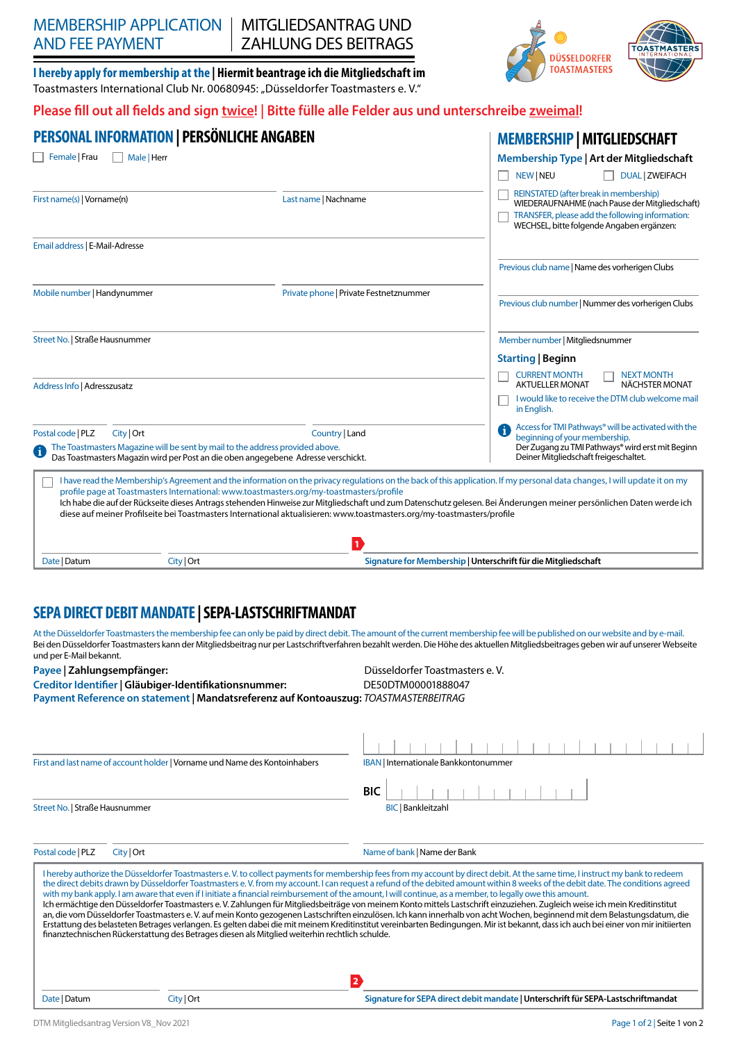# MEMBERSHIP APPLICATION AND FEE PAYMENT

MITGLIEDSANTRAG UND ZAHLUNG DES BEITRAGS

**I hereby apply for membership at the | Hiermit beantrage ich die Mitgliedschaft im** Toastmasters International Club Nr. 00680945: "Düsseldorfer Toastmasters e. V."

## Please fill out all fields and sign *twice*! | Bitte fülle alle Felder aus und unterschreibe zweimal!

|                                                                                                                                                                                                                              | PERSONAL INFORMATION   PERSÖNLICHE ANGABEN | <b>MEMBERSHIP   MITGLIEDSCHAFT</b>                                                                                                                                                                                  |                                                                                                                                                                                                                                                                                                                                                   |
|------------------------------------------------------------------------------------------------------------------------------------------------------------------------------------------------------------------------------|--------------------------------------------|---------------------------------------------------------------------------------------------------------------------------------------------------------------------------------------------------------------------|---------------------------------------------------------------------------------------------------------------------------------------------------------------------------------------------------------------------------------------------------------------------------------------------------------------------------------------------------|
| Female   Frau                                                                                                                                                                                                                | Male   Herr                                |                                                                                                                                                                                                                     | Membership Type   Art der Mitgliedschaft                                                                                                                                                                                                                                                                                                          |
|                                                                                                                                                                                                                              |                                            |                                                                                                                                                                                                                     | <b>DUAL   ZWEIFACH</b><br><b>NEW NEU</b>                                                                                                                                                                                                                                                                                                          |
| First name(s)   Vorname(n)                                                                                                                                                                                                   |                                            | Last name   Nachname                                                                                                                                                                                                | REINSTATED (after break in membership)<br>WIEDERAUFNAHME (nach Pause der Mitgliedschaft)<br>TRANSFER, please add the following information:<br>WECHSEL, bitte folgende Angaben ergänzen:                                                                                                                                                          |
| Email address   E-Mail-Adresse                                                                                                                                                                                               |                                            |                                                                                                                                                                                                                     |                                                                                                                                                                                                                                                                                                                                                   |
|                                                                                                                                                                                                                              |                                            |                                                                                                                                                                                                                     | Previous club name   Name des vorherigen Clubs                                                                                                                                                                                                                                                                                                    |
| Mobile number   Handynummer                                                                                                                                                                                                  |                                            | Private phone   Private Festnetznummer                                                                                                                                                                              | Previous club number   Nummer des vorherigen Clubs                                                                                                                                                                                                                                                                                                |
| Street No.   Straße Hausnummer                                                                                                                                                                                               |                                            |                                                                                                                                                                                                                     | Member number   Mitgliedsnummer                                                                                                                                                                                                                                                                                                                   |
|                                                                                                                                                                                                                              |                                            |                                                                                                                                                                                                                     | <b>Starting   Beginn</b>                                                                                                                                                                                                                                                                                                                          |
| Address Info   Adresszusatz                                                                                                                                                                                                  |                                            |                                                                                                                                                                                                                     | <b>CURRENT MONTH</b><br><b>NEXT MONTH</b><br>NÄCHSTER MONAT<br><b>AKTUELLER MONAT</b>                                                                                                                                                                                                                                                             |
|                                                                                                                                                                                                                              |                                            |                                                                                                                                                                                                                     | I would like to receive the DTM club welcome mail<br>in English.                                                                                                                                                                                                                                                                                  |
| City   Ort<br>Postal code   PLZ<br>Country   Land<br>The Toastmasters Magazine will be sent by mail to the address provided above.<br>đ<br>Das Toastmasters Magazin wird per Post an die oben angegebene Adresse verschickt. |                                            |                                                                                                                                                                                                                     | Access for TMI Pathways® will be activated with the<br>G.<br>beginning of your membership.<br>Der Zugang zu TMI Pathways® wird erst mit Beginn<br>Deiner Mitgliedschaft freigeschaltet.                                                                                                                                                           |
|                                                                                                                                                                                                                              |                                            | profile page at Toastmasters International: www.toastmasters.org/my-toastmasters/profile<br>diese auf meiner Profilseite bei Toastmasters International aktualisieren: www.toastmasters.org/my-toastmasters/profile | I have read the Membership's Agreement and the information on the privacy regulations on the back of this application. If my personal data changes, I will update it on my<br>Ich habe die auf der Rückseite dieses Antrags stehenden Hinweise zur Mitgliedschaft und zum Datenschutz gelesen. Bei Änderungen meiner persönlichen Daten werde ich |
| Date   Datum                                                                                                                                                                                                                 |                                            | D                                                                                                                                                                                                                   | Signature for Membership   Unterschrift für die Mitgliedschaft                                                                                                                                                                                                                                                                                    |
|                                                                                                                                                                                                                              | City   Ort                                 |                                                                                                                                                                                                                     |                                                                                                                                                                                                                                                                                                                                                   |

# **SEPA DIRECT DEBIT MANDATE | SEPA-LASTSCHRIFTMANDAT**

At the Düsseldorfer Toastmasters the membership fee can only be paid by direct debit. The amount of the current membership fee will be published on our website and by e-mail. Bei den Düsseldorfer Toastmasters kann der Mitgliedsbeitrag nur per Lastschriftverfahren bezahlt werden. Die Höhe des aktuellen Mitgliedsbeitrages geben wir auf unserer Webseite und per E-Mail bekannt.

#### Payee | Zahlungsempfänger: **Düsseldorfer Toastmasters e. V.** Düsseldorfer Toastmasters e. V.

**Creditor Identifier | Gläubiger-Identifikationsnummer:** DE50DTM00001888047

**Payment Reference on statement | Mandatsreferenz auf Kontoauszug:** *TOASTMASTERBEITRAG*

| First and last name of account holder   Vorname und Name des Kontoinhabers<br><b>IBAN</b> Internationale Bankkontonummer<br><b>BIC</b><br>Street No.   Straße Hausnummer<br><b>BIC</b>   Bankleitzahl<br>Postal code   PLZ<br>City   Ort<br>Name of bank   Name der Bank<br>I hereby authorize the Düsseldorfer Toastmasters e.V. to collect payments for membership fees from my account by direct debit. At the same time, I instruct my bank to redeem<br>the direct debits drawn by Düsseldorfer Toastmasters e. V. from my account. I can request a refund of the debited amount within 8 weeks of the debit date. The conditions agreed<br>with my bank apply. I am aware that even if I initiate a financial reimbursement of the amount, I will continue, as a member, to legally owe this amount.<br>Ich ermächtige den Düsseldorfer Toastmasters e. V. Zahlungen für Mitgliedsbeiträge von meinem Konto mittels Lastschrift einzuziehen. Zugleich weise ich mein Kreditinstitut<br>an, die vom Düsseldorfer Toastmasters e. V. auf mein Konto gezogenen Lastschriften einzulösen. Ich kann innerhalb von acht Wochen, beginnend mit dem Belastungsdatum, die<br>Erstattung des belasteten Betrages verlangen. Es gelten dabei die mit meinem Kreditinstitut vereinbarten Bedingungen. Mir ist bekannt, dass ich auch bei einer von mir initiierten<br>finanztechnischen Rückerstattung des Betrages diesen als Mitglied weiterhin rechtlich schulde.<br>$\overline{2}$<br>City   Ort<br>Signature for SEPA direct debit mandate   Unterschrift für SEPA-Lastschriftmandat<br>Date   Datum |  |  |
|-----------------------------------------------------------------------------------------------------------------------------------------------------------------------------------------------------------------------------------------------------------------------------------------------------------------------------------------------------------------------------------------------------------------------------------------------------------------------------------------------------------------------------------------------------------------------------------------------------------------------------------------------------------------------------------------------------------------------------------------------------------------------------------------------------------------------------------------------------------------------------------------------------------------------------------------------------------------------------------------------------------------------------------------------------------------------------------------------------------------------------------------------------------------------------------------------------------------------------------------------------------------------------------------------------------------------------------------------------------------------------------------------------------------------------------------------------------------------------------------------------------------------------------------------------------------------------------------------------|--|--|
|                                                                                                                                                                                                                                                                                                                                                                                                                                                                                                                                                                                                                                                                                                                                                                                                                                                                                                                                                                                                                                                                                                                                                                                                                                                                                                                                                                                                                                                                                                                                                                                                     |  |  |
|                                                                                                                                                                                                                                                                                                                                                                                                                                                                                                                                                                                                                                                                                                                                                                                                                                                                                                                                                                                                                                                                                                                                                                                                                                                                                                                                                                                                                                                                                                                                                                                                     |  |  |
|                                                                                                                                                                                                                                                                                                                                                                                                                                                                                                                                                                                                                                                                                                                                                                                                                                                                                                                                                                                                                                                                                                                                                                                                                                                                                                                                                                                                                                                                                                                                                                                                     |  |  |
|                                                                                                                                                                                                                                                                                                                                                                                                                                                                                                                                                                                                                                                                                                                                                                                                                                                                                                                                                                                                                                                                                                                                                                                                                                                                                                                                                                                                                                                                                                                                                                                                     |  |  |
|                                                                                                                                                                                                                                                                                                                                                                                                                                                                                                                                                                                                                                                                                                                                                                                                                                                                                                                                                                                                                                                                                                                                                                                                                                                                                                                                                                                                                                                                                                                                                                                                     |  |  |